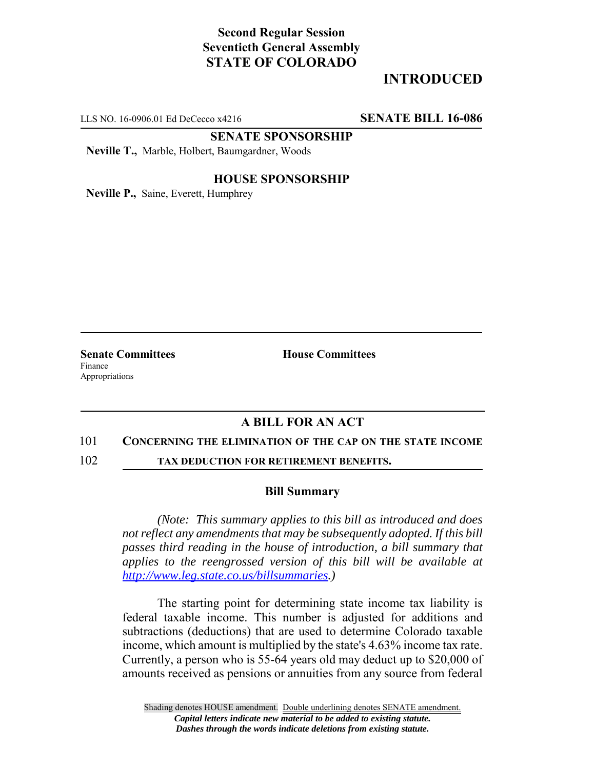# **Second Regular Session Seventieth General Assembly STATE OF COLORADO**

# **INTRODUCED**

LLS NO. 16-0906.01 Ed DeCecco x4216 **SENATE BILL 16-086**

**SENATE SPONSORSHIP**

**Neville T.,** Marble, Holbert, Baumgardner, Woods

### **HOUSE SPONSORSHIP**

**Neville P.,** Saine, Everett, Humphrey

Finance Appropriations

**Senate Committees House Committees** 

## **A BILL FOR AN ACT**

### 101 **CONCERNING THE ELIMINATION OF THE CAP ON THE STATE INCOME**

102 **TAX DEDUCTION FOR RETIREMENT BENEFITS.**

#### **Bill Summary**

*(Note: This summary applies to this bill as introduced and does not reflect any amendments that may be subsequently adopted. If this bill passes third reading in the house of introduction, a bill summary that applies to the reengrossed version of this bill will be available at http://www.leg.state.co.us/billsummaries.)*

The starting point for determining state income tax liability is federal taxable income. This number is adjusted for additions and subtractions (deductions) that are used to determine Colorado taxable income, which amount is multiplied by the state's 4.63% income tax rate. Currently, a person who is 55-64 years old may deduct up to \$20,000 of amounts received as pensions or annuities from any source from federal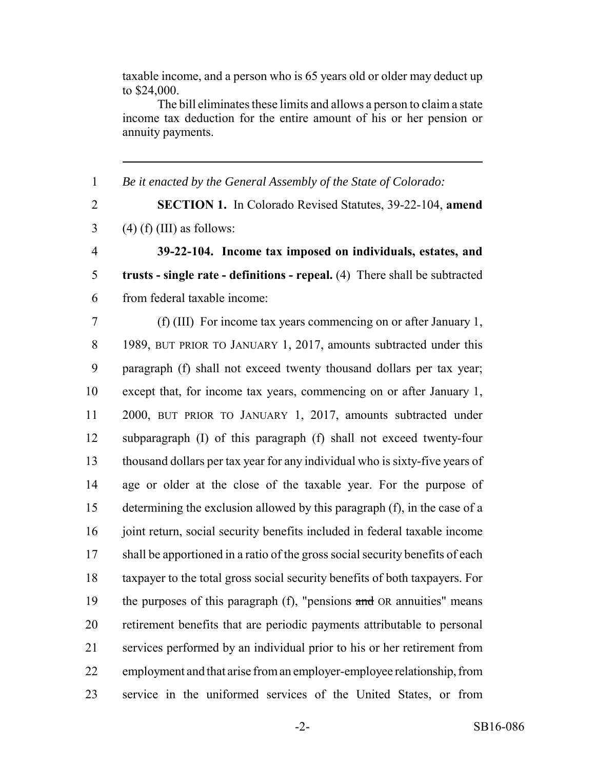taxable income, and a person who is 65 years old or older may deduct up to \$24,000.

The bill eliminates these limits and allows a person to claim a state income tax deduction for the entire amount of his or her pension or annuity payments.

*Be it enacted by the General Assembly of the State of Colorado:*

 **SECTION 1.** In Colorado Revised Statutes, 39-22-104, **amend**  $3 \qquad (4)$  (f) (III) as follows:

 **39-22-104. Income tax imposed on individuals, estates, and trusts - single rate - definitions - repeal.** (4) There shall be subtracted from federal taxable income:

 (f) (III) For income tax years commencing on or after January 1, 8 1989, BUT PRIOR TO JANUARY 1, 2017, amounts subtracted under this paragraph (f) shall not exceed twenty thousand dollars per tax year; except that, for income tax years, commencing on or after January 1, 2000, BUT PRIOR TO JANUARY 1, 2017, amounts subtracted under subparagraph (I) of this paragraph (f) shall not exceed twenty-four thousand dollars per tax year for any individual who is sixty-five years of age or older at the close of the taxable year. For the purpose of determining the exclusion allowed by this paragraph (f), in the case of a 16 joint return, social security benefits included in federal taxable income 17 shall be apportioned in a ratio of the gross social security benefits of each taxpayer to the total gross social security benefits of both taxpayers. For 19 the purposes of this paragraph  $(f)$ , "pensions and OR annuities" means retirement benefits that are periodic payments attributable to personal services performed by an individual prior to his or her retirement from employment and that arise from an employer-employee relationship, from service in the uniformed services of the United States, or from